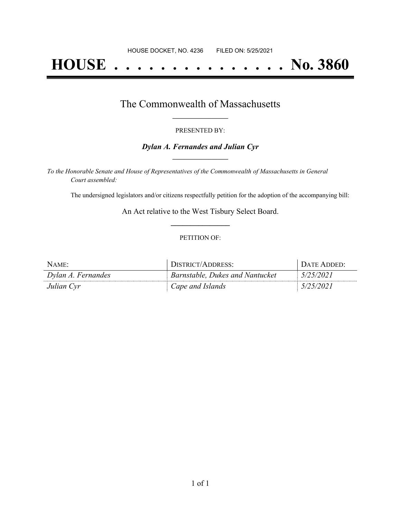# **HOUSE . . . . . . . . . . . . . . . No. 3860**

### The Commonwealth of Massachusetts **\_\_\_\_\_\_\_\_\_\_\_\_\_\_\_\_\_**

#### PRESENTED BY:

#### *Dylan A. Fernandes and Julian Cyr* **\_\_\_\_\_\_\_\_\_\_\_\_\_\_\_\_\_**

*To the Honorable Senate and House of Representatives of the Commonwealth of Massachusetts in General Court assembled:*

The undersigned legislators and/or citizens respectfully petition for the adoption of the accompanying bill:

An Act relative to the West Tisbury Select Board. **\_\_\_\_\_\_\_\_\_\_\_\_\_\_\_**

#### PETITION OF:

| NAME:              | DISTRICT/ADDRESS:               | <b>I DATE ADDED:</b> |
|--------------------|---------------------------------|----------------------|
| Dylan A. Fernandes | Barnstable, Dukes and Nantucket | 5/25/2021            |
| Julian Cyr         | Cape and Islands                | 5/25/2021            |